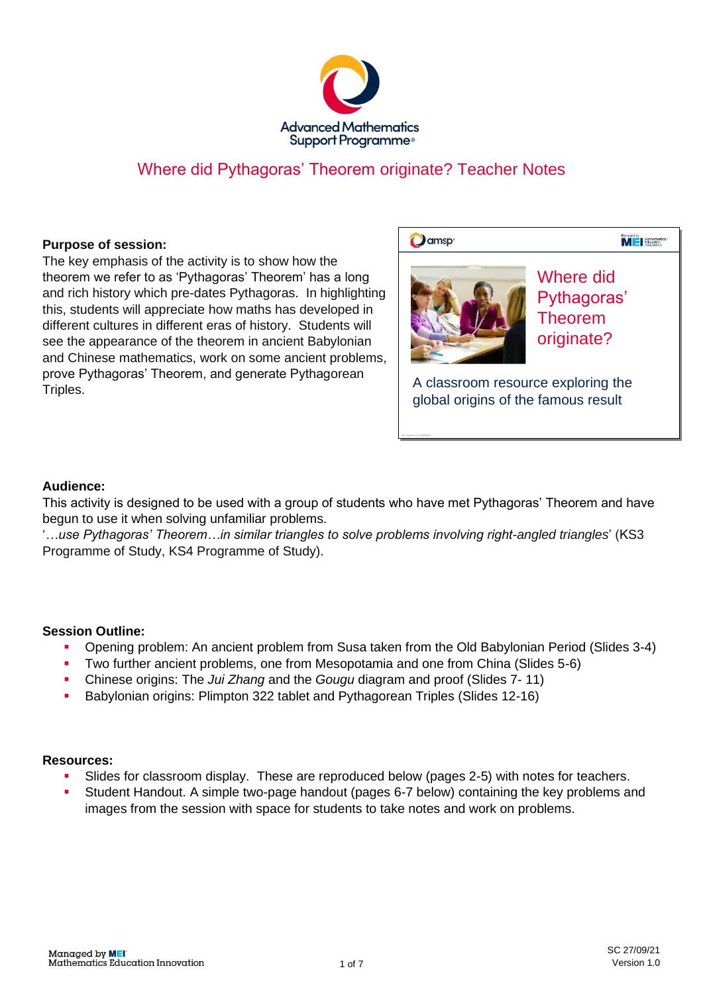

### Where did Pythagoras' Theorem originate? Teacher Notes

#### **Purpose of session:**

The key emphasis of the activity is to show how the theorem we refer to as 'Pythagoras' Theorem' has a long and rich history which pre-dates Pythagoras. In highlighting this, students will appreciate how maths has developed in different cultures in different eras of history. Students will see the appearance of the theorem in ancient Babylonian and Chinese mathematics, work on some ancient problems, prove Pythagoras' Theorem, and generate Pythagorean Triples.

| amsp <sup>®</sup>                | Menaged by                                               |
|----------------------------------|----------------------------------------------------------|
|                                  | Where did<br>Pythagoras'<br><b>Theorem</b><br>originate? |
| classroom resource exploring the |                                                          |

A classroom resource exploring the global origins of the famous result global origins of the famous resultA classroom resource exploring the

### **Audience:**

This activity is designed to be used with a group of students who have met Pythagoras' Theorem and have begun to use it when solving unfamiliar problems.

'*…use Pythagoras' Theorem…in similar triangles to solve problems involving right-angled triangles*' (KS3 Programme of Study, KS4 Programme of Study).

### **Session Outline:**

- Opening problem: An ancient problem from Susa taken from the Old Babylonian Period (Slides 3-4)
- Two further ancient problems, one from Mesopotamia and one from China (Slides 5-6)
- Chinese origins: The *Jui Zhang* and the *Gougu* diagram and proof (Slides 7- 11)
- Babylonian origins: Plimpton 322 tablet and Pythagorean Triples (Slides 12-16)

#### **Resources:**

- Slides for classroom display. These are reproduced below (pages 2-5) with notes for teachers.
- Student Handout. A simple two-page handout (pages 6-7 below) containing the key problems and images from the session with space for students to take notes and work on problems.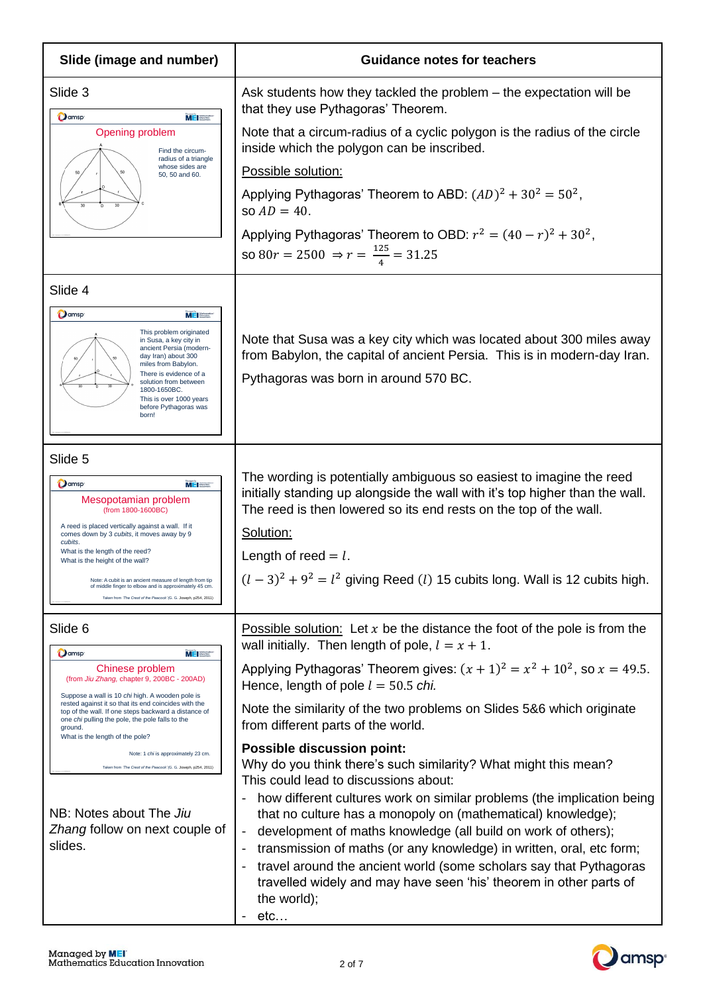| Slide (image and number)                                                                                                                                                                                                                                                                                                                                                                                                                                                                                                                                             | <b>Guidance notes for teachers</b>                                                                                                                                                                                                                                                                                                                                                                                                                                                                                                                                                                                                                                                                                                                                                                                                                                                                                                                                                                                |
|----------------------------------------------------------------------------------------------------------------------------------------------------------------------------------------------------------------------------------------------------------------------------------------------------------------------------------------------------------------------------------------------------------------------------------------------------------------------------------------------------------------------------------------------------------------------|-------------------------------------------------------------------------------------------------------------------------------------------------------------------------------------------------------------------------------------------------------------------------------------------------------------------------------------------------------------------------------------------------------------------------------------------------------------------------------------------------------------------------------------------------------------------------------------------------------------------------------------------------------------------------------------------------------------------------------------------------------------------------------------------------------------------------------------------------------------------------------------------------------------------------------------------------------------------------------------------------------------------|
| Slide 3<br><b>O</b> amsp<br><b>MEI</b><br>Opening problem<br>Find the circum-<br>radius of a triangle<br>whose sides are<br>50, 50 and 60.<br>30                                                                                                                                                                                                                                                                                                                                                                                                                     | Ask students how they tackled the problem – the expectation will be<br>that they use Pythagoras' Theorem.<br>Note that a circum-radius of a cyclic polygon is the radius of the circle<br>inside which the polygon can be inscribed.<br>Possible solution:<br>Applying Pythagoras' Theorem to ABD: $(AD)^2 + 30^2 = 50^2$ ,<br>so $AD = 40$ .<br>Applying Pythagoras' Theorem to OBD: $r^2 = (40 - r)^2 + 30^2$ ,<br>so 80 $r = 2500 \Rightarrow r = \frac{125}{4} = 31.25$                                                                                                                                                                                                                                                                                                                                                                                                                                                                                                                                       |
| Slide 4<br><b>O</b> amsp<br><b>MEI</b><br>This problem originated<br>in Susa, a key city in<br>ancient Persia (modern-<br>day Iran) about 300<br>miles from Babylon.<br>There is evidence of a<br>solution from between<br>1800-1650BC.<br>This is over 1000 years<br>before Pythagoras was<br>born!                                                                                                                                                                                                                                                                 | Note that Susa was a key city which was located about 300 miles away<br>from Babylon, the capital of ancient Persia. This is in modern-day Iran.<br>Pythagoras was born in around 570 BC.                                                                                                                                                                                                                                                                                                                                                                                                                                                                                                                                                                                                                                                                                                                                                                                                                         |
| Slide 5<br>Oamsp <sup>®</sup><br><b>MEISSE</b><br>Mesopotamian problem<br>(from 1800-1600BC)<br>A reed is placed vertically against a wall. If it<br>comes down by 3 cubits, it moves away by 9<br>cubits.<br>What is the length of the reed?<br>What is the height of the wall?<br>Note: A cubit is an ancient measure of length from tip<br>of middle finger to elbow and is approximately 45 cm.<br>Taken from 'The Crest of the Peacock' (G. G. Joseph, p254, 2011)                                                                                              | The wording is potentially ambiguous so easiest to imagine the reed<br>initially standing up alongside the wall with it's top higher than the wall.<br>The reed is then lowered so its end rests on the top of the wall.<br>Solution:<br>Length of reed $= l$ .<br>$(l-3)^2 + 9^2 = l^2$ giving Reed ( <i>l</i> ) 15 cubits long. Wall is 12 cubits high.                                                                                                                                                                                                                                                                                                                                                                                                                                                                                                                                                                                                                                                         |
| Slide 6<br>Oamsp <sup>®</sup><br>MEI Boottes<br>Chinese problem<br>(from Jiu Zhang, chapter 9, 200BC - 200AD)<br>Suppose a wall is 10 chi high. A wooden pole is<br>rested against it so that its end coincides with the<br>top of the wall. If one steps backward a distance of<br>one chi pulling the pole, the pole falls to the<br>ground.<br>What is the length of the pole?<br>Note: 1 chi is approximately 23 cm.<br>Taken from 'The Crest of the Peacock' (G. G. Joseph, p254, 2011)<br>NB: Notes about The Jiu<br>Zhang follow on next couple of<br>slides. | Possible solution: Let $x$ be the distance the foot of the pole is from the<br>wall initially. Then length of pole, $l = x + 1$ .<br>Applying Pythagoras' Theorem gives: $(x + 1)^2 = x^2 + 10^2$ , so $x = 49.5$ .<br>Hence, length of pole $l = 50.5$ chi.<br>Note the similarity of the two problems on Slides 5&6 which originate<br>from different parts of the world.<br><b>Possible discussion point:</b><br>Why do you think there's such similarity? What might this mean?<br>This could lead to discussions about:<br>how different cultures work on similar problems (the implication being<br>that no culture has a monopoly on (mathematical) knowledge);<br>development of maths knowledge (all build on work of others);<br>$\qquad \qquad \blacksquare$<br>transmission of maths (or any knowledge) in written, oral, etc form;<br>travel around the ancient world (some scholars say that Pythagoras<br>travelled widely and may have seen 'his' theorem in other parts of<br>the world);<br>etc |

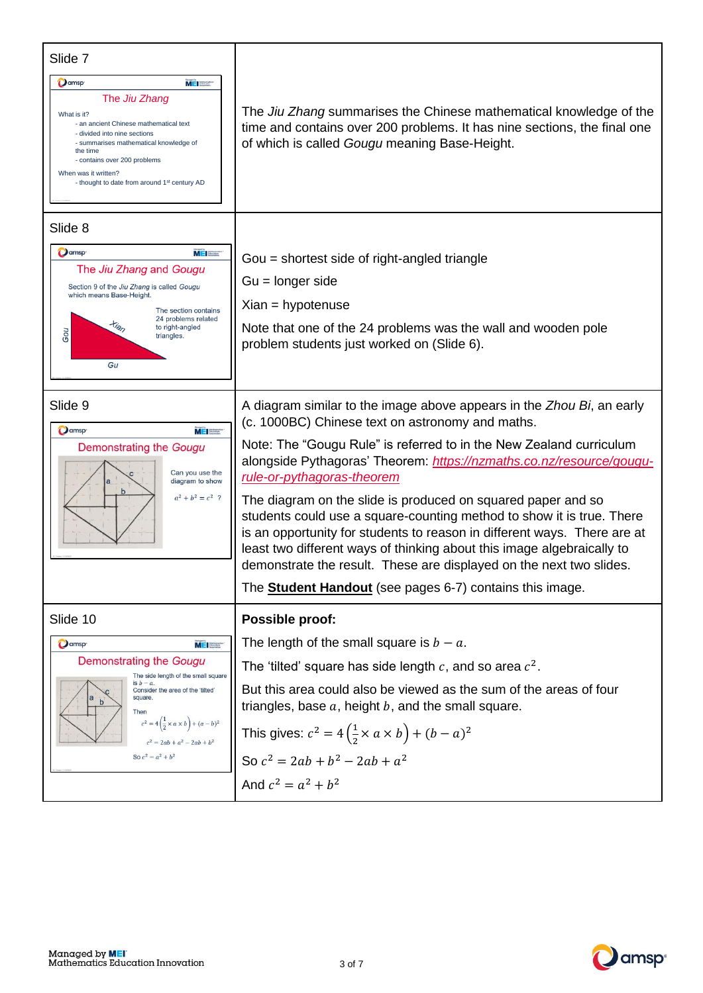| Slide 7                                                                                                                                                                                                                                                                                                                 |                                                                                                                                                                                                                                                                                                                                                                                                                                                                                                                                                                                                                                                                                                                                                 |
|-------------------------------------------------------------------------------------------------------------------------------------------------------------------------------------------------------------------------------------------------------------------------------------------------------------------------|-------------------------------------------------------------------------------------------------------------------------------------------------------------------------------------------------------------------------------------------------------------------------------------------------------------------------------------------------------------------------------------------------------------------------------------------------------------------------------------------------------------------------------------------------------------------------------------------------------------------------------------------------------------------------------------------------------------------------------------------------|
| <b>O</b> amsp<br><b>MEISSE</b><br>The Jiu Zhang<br>What is it?<br>- an ancient Chinese mathematical text<br>- divided into nine sections<br>- summarises mathematical knowledge of<br>the time<br>- contains over 200 problems<br>When was it written?<br>- thought to date from around 1 <sup>st</sup> century AD      | The Jiu Zhang summarises the Chinese mathematical knowledge of the<br>time and contains over 200 problems. It has nine sections, the final one<br>of which is called Gougu meaning Base-Height.                                                                                                                                                                                                                                                                                                                                                                                                                                                                                                                                                 |
| Slide 8<br>Oamsp <sup>®</sup><br>ME Mothematic<br>The Jiu Zhang and Gougu<br>Section 9 of the Jiu Zhang is called Gougu<br>which means Base-Height.<br>The section contains<br>24 problems related<br>$t_{\hat{q}_p}$<br>to right-angled<br>Gou<br>triangles.<br>Gu                                                     | Gou = shortest side of right-angled triangle<br>$Gu = longer side$<br>$Xian = hypotenuse$<br>Note that one of the 24 problems was the wall and wooden pole<br>problem students just worked on (Slide 6).                                                                                                                                                                                                                                                                                                                                                                                                                                                                                                                                        |
| Slide 9<br><b>O</b> amsp <sup>®</sup><br>$M = 1$<br>Demonstrating the Gougu<br>Can you use the<br>diagram to show<br>$a^2 + b^2 = c^2$ ?                                                                                                                                                                                | A diagram similar to the image above appears in the Zhou Bi, an early<br>(c. 1000BC) Chinese text on astronomy and maths.<br>Note: The "Gougu Rule" is referred to in the New Zealand curriculum<br>alongside Pythagoras' Theorem: https://nzmaths.co.nz/resource/gougu-<br>rule-or-pythagoras-theorem<br>The diagram on the slide is produced on squared paper and so<br>students could use a square-counting method to show it is true. There<br>is an opportunity for students to reason in different ways. There are at<br>least two different ways of thinking about this image algebraically to<br>demonstrate the result. These are displayed on the next two slides.<br>The <b>Student Handout</b> (see pages 6-7) contains this image. |
| Slide 10<br>Oamsp <sup>-</sup><br><b>MEI</b><br>Demonstrating the Gougu<br>The side length of the small square<br>is $b - a$ .<br>Consider the area of the 'tilted'<br>square.<br>b<br>Then<br>$c^2 = 4\left(\frac{1}{2} \times a \times b\right) + (a - b)^2$<br>$c^2 = 2ab + a^2 - 2ab + b^2$<br>So $c^2 = a^2 + b^2$ | Possible proof:<br>The length of the small square is $b - a$ .<br>The 'tilted' square has side length c, and so area $c^2$ .<br>But this area could also be viewed as the sum of the areas of four<br>triangles, base $a$ , height $b$ , and the small square.<br>This gives: $c^2 = 4(\frac{1}{2} \times a \times b) + (b - a)^2$<br>So $c^2 = 2ab + b^2 - 2ab + a^2$                                                                                                                                                                                                                                                                                                                                                                          |
|                                                                                                                                                                                                                                                                                                                         | And $c^2 = a^2 + b^2$                                                                                                                                                                                                                                                                                                                                                                                                                                                                                                                                                                                                                                                                                                                           |

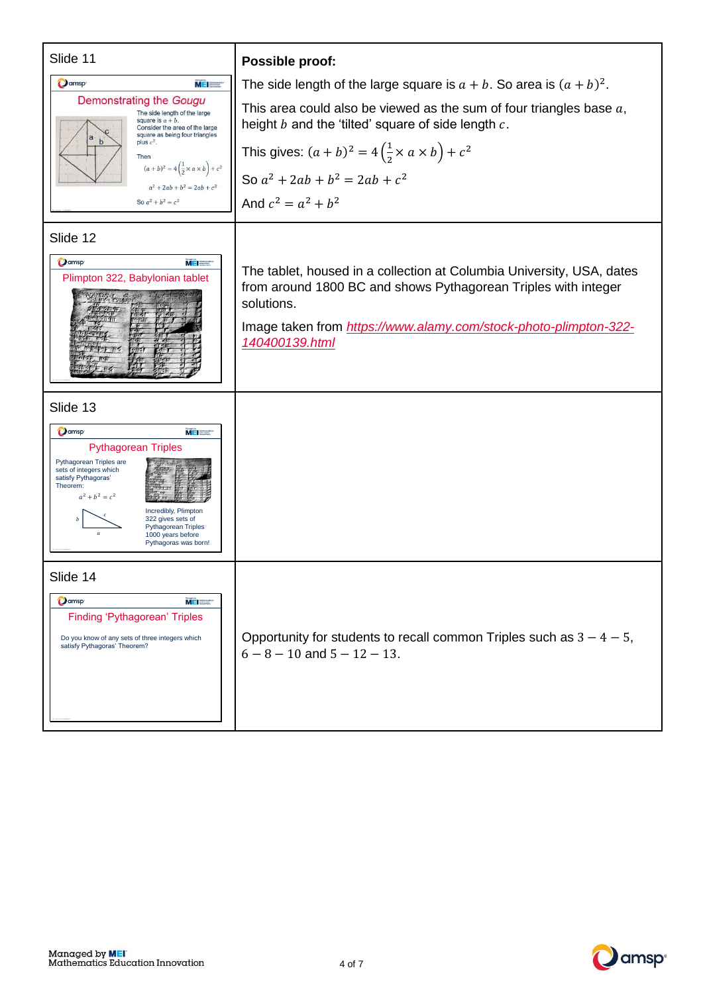| Slide 11                                                                                                                                                                                                                                                                                                       | Possible proof:                                                                                                                                                                                                                             |
|----------------------------------------------------------------------------------------------------------------------------------------------------------------------------------------------------------------------------------------------------------------------------------------------------------------|---------------------------------------------------------------------------------------------------------------------------------------------------------------------------------------------------------------------------------------------|
| <b>Q</b> amsp <sup>®</sup><br><b>MEI</b>                                                                                                                                                                                                                                                                       | The side length of the large square is $a + b$ . So area is $(a + b)^2$ .                                                                                                                                                                   |
| Demonstrating the Gougu<br>The side length of the large<br>square is $a + b$ .<br>Consider the area of the large<br>square as being four triangles                                                                                                                                                             | This area could also be viewed as the sum of four triangles base $a$ ,<br>height $b$ and the 'tilted' square of side length $c$ .                                                                                                           |
| b<br>plus $c^2$ .<br>Then                                                                                                                                                                                                                                                                                      | This gives: $(a + b)^2 = 4\left(\frac{1}{2} \times a \times b\right) + c^2$                                                                                                                                                                 |
| $(a + b)^2 = 4\left(\frac{1}{2} \times a \times b\right) + c^2$<br>$a^2 + 2ab + b^2 = 2ab + c^2$                                                                                                                                                                                                               | So $a^2 + 2ab + b^2 = 2ab + c^2$                                                                                                                                                                                                            |
| So $a^2 + b^2 = c^2$                                                                                                                                                                                                                                                                                           | And $c^2 = a^2 + b^2$                                                                                                                                                                                                                       |
| Slide 12                                                                                                                                                                                                                                                                                                       |                                                                                                                                                                                                                                             |
| <b>D</b> amsp<br><b>MEISSE</b><br>Plimpton 322, Babylonian tablet                                                                                                                                                                                                                                              | The tablet, housed in a collection at Columbia University, USA, dates<br>from around 1800 BC and shows Pythagorean Triples with integer<br>solutions.<br>Image taken from https://www.alamy.com/stock-photo-plimpton-322-<br>140400139.html |
| Slide 13                                                                                                                                                                                                                                                                                                       |                                                                                                                                                                                                                                             |
| $M$ $\blacksquare$ Materials<br>Oamsp <sup>®</sup><br><b>Pythagorean Triples</b><br>Pythagorean Triples are<br>sets of integers which<br>satisfy Pythagoras'<br>Theorem:<br>$a^2 + b^2 = c^2$<br>Incredibly, Plimpton<br>322 gives sets of<br>Pythagorean Triples<br>1000 years before<br>Pythagoras was born! |                                                                                                                                                                                                                                             |
| Slide 14                                                                                                                                                                                                                                                                                                       |                                                                                                                                                                                                                                             |
| Oamsp <sup>®</sup><br><b>MEI</b><br><b>Finding 'Pythagorean' Triples</b><br>Do you know of any sets of three integers which<br>satisfy Pythagoras' Theorem?                                                                                                                                                    | Opportunity for students to recall common Triples such as $3 - 4 - 5$ ,<br>$6 - 8 - 10$ and $5 - 12 - 13$ .                                                                                                                                 |

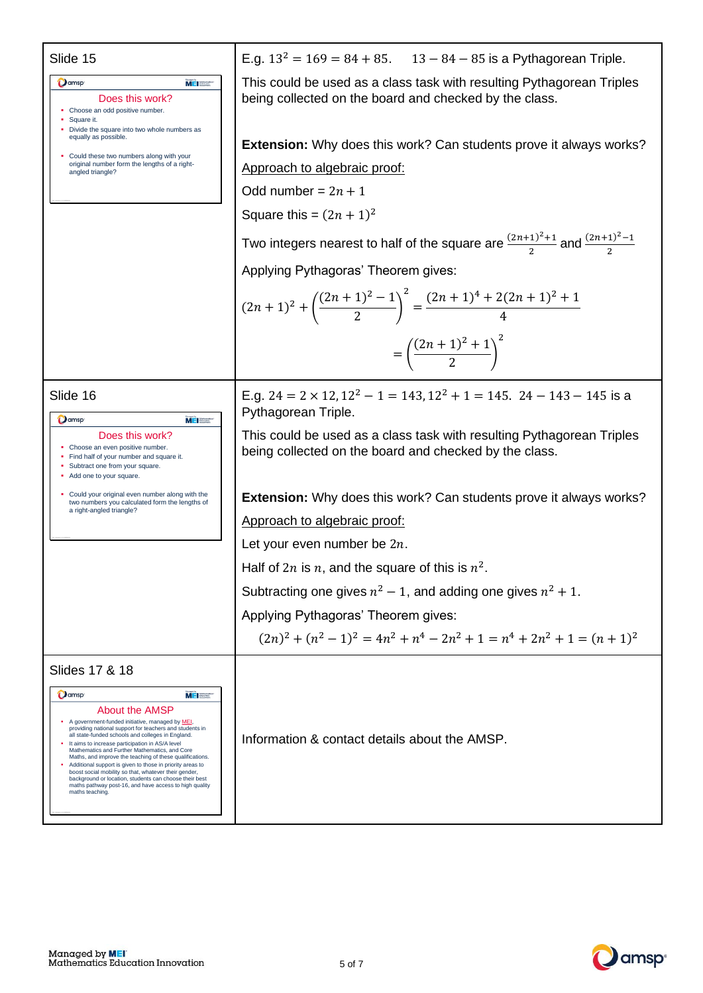| Slide 15                                                                                                                                                                                                                                                                                                                                                                                                                                                                                                                                                                                                                                                                     | E.g. $13^2 = 169 = 84 + 85$ . $13 - 84 - 85$ is a Pythagorean Triple.                                                           |
|------------------------------------------------------------------------------------------------------------------------------------------------------------------------------------------------------------------------------------------------------------------------------------------------------------------------------------------------------------------------------------------------------------------------------------------------------------------------------------------------------------------------------------------------------------------------------------------------------------------------------------------------------------------------------|---------------------------------------------------------------------------------------------------------------------------------|
| <b>O</b> amsp<br><b>MEI</b> Sterne<br>Does this work?<br>• Choose an odd positive number.<br>• Square it.<br>Divide the square into two whole numbers as                                                                                                                                                                                                                                                                                                                                                                                                                                                                                                                     | This could be used as a class task with resulting Pythagorean Triples<br>being collected on the board and checked by the class. |
| equally as possible.                                                                                                                                                                                                                                                                                                                                                                                                                                                                                                                                                                                                                                                         | <b>Extension:</b> Why does this work? Can students prove it always works?                                                       |
| • Could these two numbers along with your<br>original number form the lengths of a right-<br>angled triangle?                                                                                                                                                                                                                                                                                                                                                                                                                                                                                                                                                                | Approach to algebraic proof:                                                                                                    |
|                                                                                                                                                                                                                                                                                                                                                                                                                                                                                                                                                                                                                                                                              | Odd number = $2n + 1$                                                                                                           |
|                                                                                                                                                                                                                                                                                                                                                                                                                                                                                                                                                                                                                                                                              | Square this = $(2n + 1)^2$                                                                                                      |
|                                                                                                                                                                                                                                                                                                                                                                                                                                                                                                                                                                                                                                                                              | Two integers nearest to half of the square are $\frac{(2n+1)^2+1}{2}$ and $\frac{(2n+1)^2-1}{2}$                                |
|                                                                                                                                                                                                                                                                                                                                                                                                                                                                                                                                                                                                                                                                              | Applying Pythagoras' Theorem gives:                                                                                             |
|                                                                                                                                                                                                                                                                                                                                                                                                                                                                                                                                                                                                                                                                              | $(2n+1)^2 + \left(\frac{(2n+1)^2-1}{2}\right)^2 = \frac{(2n+1)^4 + 2(2n+1)^2 + 1}{4}$                                           |
|                                                                                                                                                                                                                                                                                                                                                                                                                                                                                                                                                                                                                                                                              | $=\left(\frac{(2n+1)^2+1}{2}\right)^2$                                                                                          |
| Slide 16<br><b>O</b> amsp<br>MEI <b>SERVICE</b>                                                                                                                                                                                                                                                                                                                                                                                                                                                                                                                                                                                                                              | E.g. $24 = 2 \times 12$ , $12^2 - 1 = 143$ , $12^2 + 1 = 145$ . $24 - 143 - 145$ is a<br>Pythagorean Triple.                    |
| Does this work?<br>• Choose an even positive number.<br>• Find half of your number and square it.<br>• Subtract one from your square.<br>• Add one to your square.                                                                                                                                                                                                                                                                                                                                                                                                                                                                                                           | This could be used as a class task with resulting Pythagorean Triples<br>being collected on the board and checked by the class. |
| • Could your original even number along with the<br>two numbers you calculated form the lengths of                                                                                                                                                                                                                                                                                                                                                                                                                                                                                                                                                                           | Extension: Why does this work? Can students prove it always works?                                                              |
| a right-angled triangle?                                                                                                                                                                                                                                                                                                                                                                                                                                                                                                                                                                                                                                                     | Approach to algebraic proof:                                                                                                    |
|                                                                                                                                                                                                                                                                                                                                                                                                                                                                                                                                                                                                                                                                              | Let your even number be $2n$ .                                                                                                  |
|                                                                                                                                                                                                                                                                                                                                                                                                                                                                                                                                                                                                                                                                              | Half of 2 <i>n</i> is <i>n</i> , and the square of this is $n^2$ .                                                              |
|                                                                                                                                                                                                                                                                                                                                                                                                                                                                                                                                                                                                                                                                              | Subtracting one gives $n^2 - 1$ , and adding one gives $n^2 + 1$ .                                                              |
|                                                                                                                                                                                                                                                                                                                                                                                                                                                                                                                                                                                                                                                                              | Applying Pythagoras' Theorem gives:                                                                                             |
|                                                                                                                                                                                                                                                                                                                                                                                                                                                                                                                                                                                                                                                                              | $(2n)^2 + (n^2 - 1)^2 = 4n^2 + n^4 - 2n^2 + 1 = n^4 + 2n^2 + 1 = (n+1)^2$                                                       |
| Slides 17 & 18<br>Oamsp <sup>®</sup><br>MEI Stand<br><b>About the AMSP</b><br>A government-funded initiative, managed by MEI,<br>providing national support for teachers and students in<br>all state-funded schools and colleges in England.<br>It aims to increase participation in AS/A level<br>Mathematics and Further Mathematics, and Core<br>Maths, and improve the teaching of these qualifications.<br>• Additional support is given to those in priority areas to<br>boost social mobility so that, whatever their gender,<br>background or location, students can choose their best<br>maths pathway post-16, and have access to high quality<br>maths teaching. | Information & contact details about the AMSP.                                                                                   |

SC Version 1.0 20/09/21

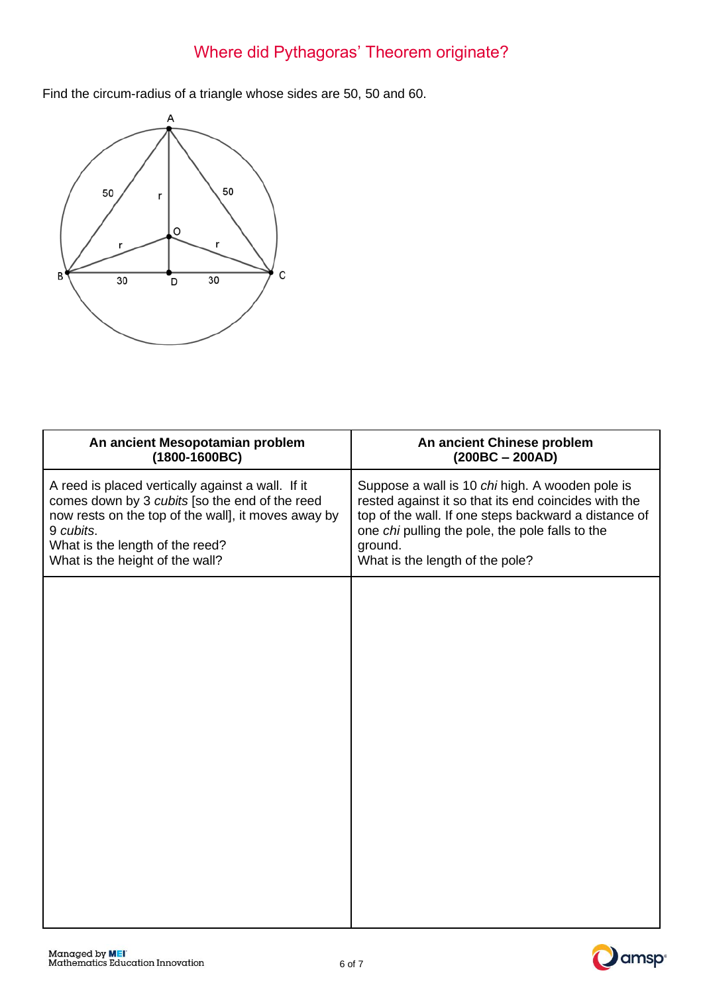# Where did Pythagoras' Theorem originate?

Find the circum-radius of a triangle whose sides are 50, 50 and 60.



| An ancient Mesopotamian problem<br>$(1800-1600BC)$                                                                                                                                                                                            | An ancient Chinese problem<br>$(200BC - 200AD)$                                                                                                                                                                                                                  |
|-----------------------------------------------------------------------------------------------------------------------------------------------------------------------------------------------------------------------------------------------|------------------------------------------------------------------------------------------------------------------------------------------------------------------------------------------------------------------------------------------------------------------|
| A reed is placed vertically against a wall. If it<br>comes down by 3 cubits [so the end of the reed<br>now rests on the top of the wall], it moves away by<br>9 cubits.<br>What is the length of the reed?<br>What is the height of the wall? | Suppose a wall is 10 chi high. A wooden pole is<br>rested against it so that its end coincides with the<br>top of the wall. If one steps backward a distance of<br>one chi pulling the pole, the pole falls to the<br>ground.<br>What is the length of the pole? |
|                                                                                                                                                                                                                                               |                                                                                                                                                                                                                                                                  |
|                                                                                                                                                                                                                                               |                                                                                                                                                                                                                                                                  |
|                                                                                                                                                                                                                                               |                                                                                                                                                                                                                                                                  |
|                                                                                                                                                                                                                                               |                                                                                                                                                                                                                                                                  |
|                                                                                                                                                                                                                                               |                                                                                                                                                                                                                                                                  |
|                                                                                                                                                                                                                                               |                                                                                                                                                                                                                                                                  |

Managed by **MEI**<br>Mathematics Education Innovation